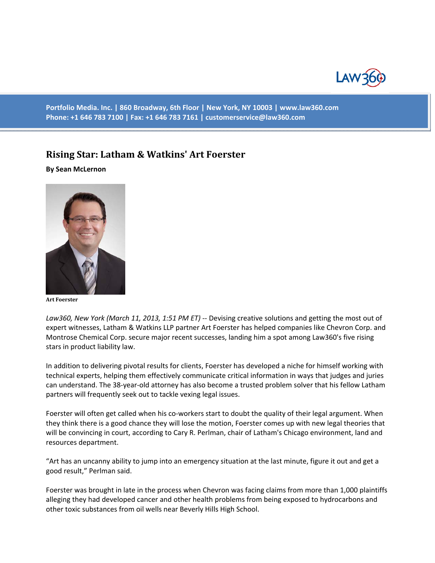

**Portfolio Media. Inc. | 860 Broadway, 6th Floor | New York, NY 10003 | www.law360.com Phone: +1 646 783 7100 | Fax: +1 646 783 7161 | customerservice@law360.com**

## **Rising Star: Latham & Watkins' Art Foerster**

## **By Sean McLernon**



**Art Foerster**

*Law360, New York (March 11, 2013, 1:51 PM ET)* -- Devising creative solutions and getting the most out of expert witnesses, Latham & Watkins LLP partner Art Foerster has helped companies like Chevron Corp. and Montrose Chemical Corp. secure major recent successes, landing him a spot among Law360's five rising stars in product liability law.

In addition to delivering pivotal results for clients, Foerster has developed a niche for himself working with technical experts, helping them effectively communicate critical information in ways that judges and juries can understand. The 38-year-old attorney has also become a trusted problem solver that his fellow Latham partners will frequently seek out to tackle vexing legal issues.

Foerster will often get called when his co-workers start to doubt the quality of their legal argument. When they think there is a good chance they will lose the motion, Foerster comes up with new legal theories that will be convincing in court, according to Cary R. Perlman, chair of Latham's Chicago environment, land and resources department.

"Art has an uncanny ability to jump into an emergency situation at the last minute, figure it out and get a good result," Perlman said.

Foerster was brought in late in the process when Chevron was facing claims from more than 1,000 plaintiffs alleging they had developed cancer and other health problems from being exposed to hydrocarbons and other toxic substances from oil wells near Beverly Hills High School.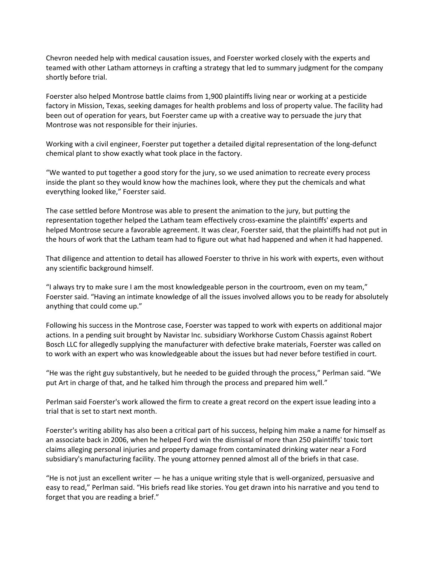Chevron needed help with medical causation issues, and Foerster worked closely with the experts and teamed with other Latham attorneys in crafting a strategy that led to summary judgment for the company shortly before trial.

Foerster also helped Montrose battle claims from 1,900 plaintiffs living near or working at a pesticide factory in Mission, Texas, seeking damages for health problems and loss of property value. The facility had been out of operation for years, but Foerster came up with a creative way to persuade the jury that Montrose was not responsible for their injuries.

Working with a civil engineer, Foerster put together a detailed digital representation of the long-defunct chemical plant to show exactly what took place in the factory.

"We wanted to put together a good story for the jury, so we used animation to recreate every process inside the plant so they would know how the machines look, where they put the chemicals and what everything looked like," Foerster said.

The case settled before Montrose was able to present the animation to the jury, but putting the representation together helped the Latham team effectively cross-examine the plaintiffs' experts and helped Montrose secure a favorable agreement. It was clear, Foerster said, that the plaintiffs had not put in the hours of work that the Latham team had to figure out what had happened and when it had happened.

That diligence and attention to detail has allowed Foerster to thrive in his work with experts, even without any scientific background himself.

"I always try to make sure I am the most knowledgeable person in the courtroom, even on my team," Foerster said. "Having an intimate knowledge of all the issues involved allows you to be ready for absolutely anything that could come up."

Following his success in the Montrose case, Foerster was tapped to work with experts on additional major actions. In a pending suit brought by Navistar Inc. subsidiary Workhorse Custom Chassis against Robert Bosch LLC for allegedly supplying the manufacturer with defective brake materials, Foerster was called on to work with an expert who was knowledgeable about the issues but had never before testified in court.

"He was the right guy substantively, but he needed to be guided through the process," Perlman said. "We put Art in charge of that, and he talked him through the process and prepared him well."

Perlman said Foerster's work allowed the firm to create a great record on the expert issue leading into a trial that is set to start next month.

Foerster's writing ability has also been a critical part of his success, helping him make a name for himself as an associate back in 2006, when he helped Ford win the dismissal of more than 250 plaintiffs' toxic tort claims alleging personal injuries and property damage from contaminated drinking water near a Ford subsidiary's manufacturing facility. The young attorney penned almost all of the briefs in that case.

"He is not just an excellent writer — he has a unique writing style that is well-organized, persuasive and easy to read," Perlman said. "His briefs read like stories. You get drawn into his narrative and you tend to forget that you are reading a brief."